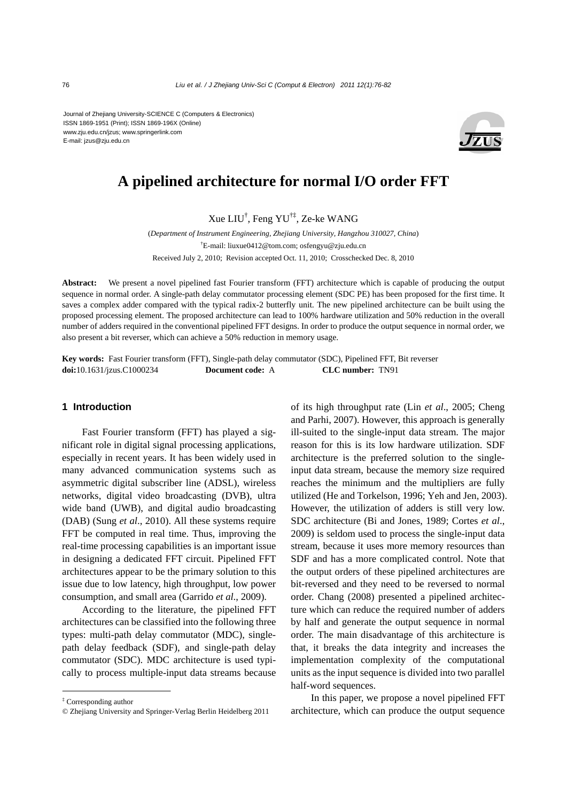Journal of Zhejiang University-SCIENCE C (Computers & Electronics) ISSN 1869-1951 (Print); ISSN 1869-196X (Online) www.zju.edu.cn/jzus; www.springerlink.com E-mail: jzus@zju.edu.cn



# **A pipelined architecture for normal I/O order FFT**

Xue LIU† , Feng YU†‡, Ze-ke WANG

(*Department of Instrument Engineering, Zhejiang University, Hangzhou 310027, China*) † E-mail: liuxue0412@tom.com; osfengyu@zju.edu.cn Received July 2, 2010; Revision accepted Oct. 11, 2010; Crosschecked Dec. 8, 2010

**Abstract:** We present a novel pipelined fast Fourier transform (FFT) architecture which is capable of producing the output sequence in normal order. A single-path delay commutator processing element (SDC PE) has been proposed for the first time. It saves a complex adder compared with the typical radix-2 butterfly unit. The new pipelined architecture can be built using the proposed processing element. The proposed architecture can lead to 100% hardware utilization and 50% reduction in the overall number of adders required in the conventional pipelined FFT designs. In order to produce the output sequence in normal order, we also present a bit reverser, which can achieve a 50% reduction in memory usage.

**Key words:** Fast Fourier transform (FFT), Single-path delay commutator (SDC), Pipelined FFT, Bit reverser **doi:**10.1631/jzus.C1000234 **Document code:** A **CLC number:** TN91

### **1 Introduction**

Fast Fourier transform (FFT) has played a significant role in digital signal processing applications, especially in recent years. It has been widely used in many advanced communication systems such as asymmetric digital subscriber line (ADSL), wireless networks, digital video broadcasting (DVB), ultra wide band (UWB), and digital audio broadcasting (DAB) (Sung *et al*., 2010). All these systems require FFT be computed in real time. Thus, improving the real-time processing capabilities is an important issue in designing a dedicated FFT circuit. Pipelined FFT architectures appear to be the primary solution to this issue due to low latency, high throughput, low power consumption, and small area (Garrido *et al*., 2009).

According to the literature, the pipelined FFT architectures can be classified into the following three types: multi-path delay commutator (MDC), singlepath delay feedback (SDF), and single-path delay commutator (SDC). MDC architecture is used typically to process multiple-input data streams because

‡ Corresponding author

of its high throughput rate (Lin *et al*., 2005; Cheng and Parhi, 2007). However, this approach is generally ill-suited to the single-input data stream. The major reason for this is its low hardware utilization. SDF architecture is the preferred solution to the singleinput data stream, because the memory size required reaches the minimum and the multipliers are fully utilized (He and Torkelson, 1996; Yeh and Jen, 2003). However, the utilization of adders is still very low. SDC architecture (Bi and Jones, 1989; Cortes *et al*., 2009) is seldom used to process the single-input data stream, because it uses more memory resources than SDF and has a more complicated control. Note that the output orders of these pipelined architectures are bit-reversed and they need to be reversed to normal order. Chang (2008) presented a pipelined architecture which can reduce the required number of adders by half and generate the output sequence in normal order. The main disadvantage of this architecture is that, it breaks the data integrity and increases the implementation complexity of the computational units as the input sequence is divided into two parallel half-word sequences.

In this paper, we propose a novel pipelined FFT architecture, which can produce the output sequence

<sup>©</sup> Zhejiang University and Springer-Verlag Berlin Heidelberg 2011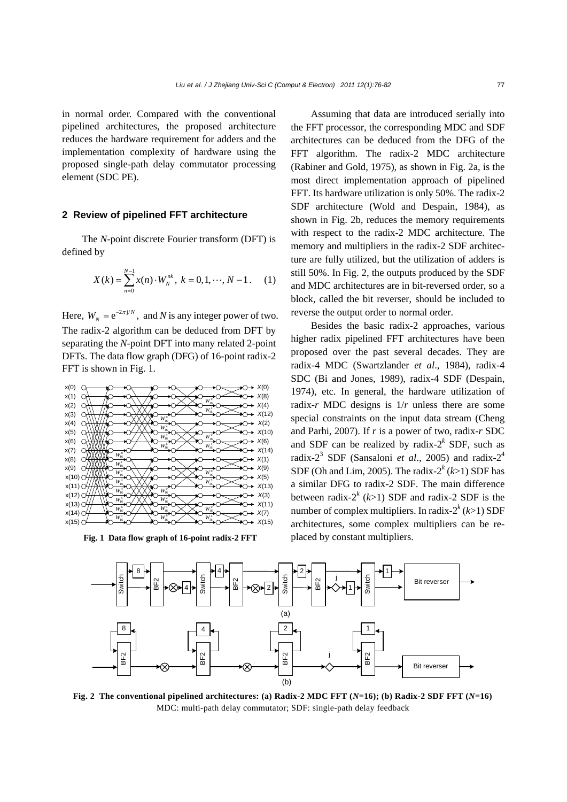in normal order. Compared with the conventional pipelined architectures, the proposed architecture reduces the hardware requirement for adders and the implementation complexity of hardware using the proposed single-path delay commutator processing element (SDC PE).

## **2 Review of pipelined FFT architecture**

The *N*-point discrete Fourier transform (DFT) is defined by

$$
X(k) = \sum_{n=0}^{N-1} x(n) \cdot W_N^{nk}, \ k = 0, 1, \cdots, N-1. \tag{1}
$$

Here,  $W_N = e^{-2\pi j/N}$ , and *N* is any integer power of two. The radix-2 algorithm can be deduced from DFT by separating the *N*-point DFT into many related 2-point DFTs. The data flow graph (DFG) of 16-point radix-2 FFT is shown in Fig. 1.



Fig. 1 Data flow graph of 16-point radix-2 FFT placed by constant multipliers.

Assuming that data are introduced serially into the FFT processor, the corresponding MDC and SDF architectures can be deduced from the DFG of the FFT algorithm. The radix-2 MDC architecture (Rabiner and Gold, 1975), as shown in Fig. 2a, is the most direct implementation approach of pipelined FFT. Its hardware utilization is only 50%. The radix-2 SDF architecture (Wold and Despain, 1984), as shown in Fig. 2b, reduces the memory requirements with respect to the radix-2 MDC architecture. The memory and multipliers in the radix-2 SDF architecture are fully utilized, but the utilization of adders is still 50%. In Fig. 2, the outputs produced by the SDF and MDC architectures are in bit-reversed order, so a block, called the bit reverser, should be included to reverse the output order to normal order.

Besides the basic radix-2 approaches, various higher radix pipelined FFT architectures have been proposed over the past several decades. They are radix-4 MDC (Swartzlander *et al*., 1984), radix-4 SDC (Bi and Jones, 1989), radix-4 SDF (Despain, 1974), etc. In general, the hardware utilization of radix-*r* MDC designs is 1/*r* unless there are some special constraints on the input data stream (Cheng and Parhi, 2007). If *r* is a power of two, radix-*r* SDC and SDF can be realized by radix- $2^k$  SDF, such as radix-2<sup>3</sup> SDF (Sansaloni *et al*., 2005) and radix-24 SDF (Oh and Lim, 2005). The radix- $2^k$  ( $k$ >1) SDF has a similar DFG to radix-2 SDF. The main difference between radix- $2^{k}$  ( $k>1$ ) SDF and radix-2 SDF is the number of complex multipliers. In radix- $2^{k}$  ( $k>1$ ) SDF architectures, some complex multipliers can be re-



**Fig. 2 The conventional pipelined architectures: (a) Radix-2 MDC FFT (***N***=16); (b) Radix-2 SDF FFT (***N***=16)**  MDC: multi-path delay commutator; SDF: single-path delay feedback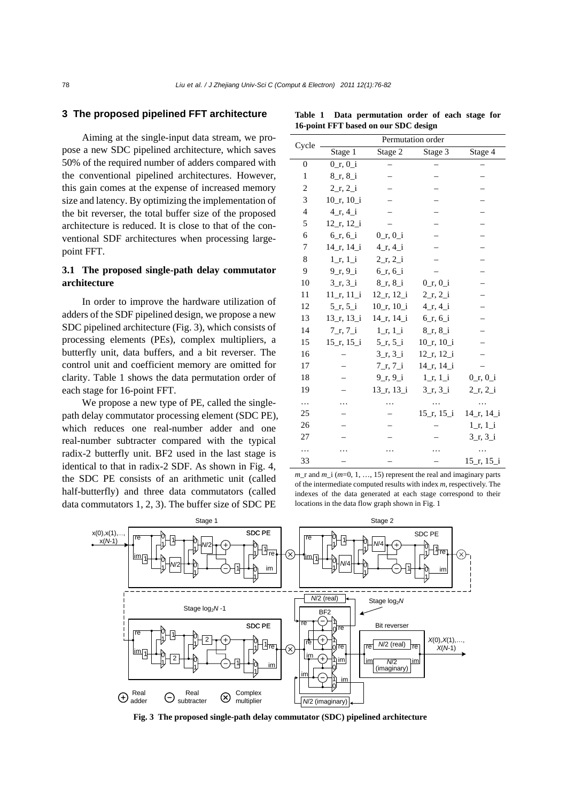### **3 The proposed pipelined FFT architecture**

Aiming at the single-input data stream, we propose a new SDC pipelined architecture, which saves 50% of the required number of adders compared with the conventional pipelined architectures. However, this gain comes at the expense of increased memory size and latency. By optimizing the implementation of the bit reverser, the total buffer size of the proposed architecture is reduced. It is close to that of the conventional SDF architectures when processing largepoint FFT.

# **3.1 The proposed single-path delay commutator architecture**

In order to improve the hardware utilization of adders of the SDF pipelined design, we propose a new SDC pipelined architecture (Fig. 3), which consists of processing elements (PEs), complex multipliers, a butterfly unit, data buffers, and a bit reverser. The control unit and coefficient memory are omitted for clarity. Table 1 shows the data permutation order of each stage for 16-point FFT.

We propose a new type of PE, called the singlepath delay commutator processing element (SDC PE), which reduces one real-number adder and one real-number subtracter compared with the typical radix-2 butterfly unit. BF2 used in the last stage is identical to that in radix-2 SDF. As shown in Fig. 4, the SDC PE consists of an arithmetic unit (called half-butterfly) and three data commutators (called data commutators 1, 2, 3). The buffer size of SDC PE

| Cycle          | Permutation order          |                                         |                                         |                                         |  |  |  |  |
|----------------|----------------------------|-----------------------------------------|-----------------------------------------|-----------------------------------------|--|--|--|--|
|                | Stage 1                    | Stage 2                                 | Stage 3                                 | Stage 4                                 |  |  |  |  |
| $\theta$       | $0_r, 0_i$                 |                                         |                                         |                                         |  |  |  |  |
| $\mathbf{1}$   | $8_r, 8_i$                 |                                         |                                         |                                         |  |  |  |  |
| 2              | $2_r, 2_i$                 |                                         |                                         |                                         |  |  |  |  |
| 3              | $10_r$ , $10_i$            |                                         |                                         |                                         |  |  |  |  |
| $\overline{4}$ | $4_r, 4_i$                 |                                         |                                         |                                         |  |  |  |  |
| 5              | $12_r$ , $12_i$            |                                         |                                         |                                         |  |  |  |  |
| 6              | $6_r, 6_i$                 | $0_r, 0_i$                              |                                         |                                         |  |  |  |  |
| 7              | $14$ r, $14$ i             | $4_r, 4_i$                              |                                         |                                         |  |  |  |  |
| 8              | $1_{I}$ , $1_{I}$          | $2_r, 2_i$                              |                                         |                                         |  |  |  |  |
| 9              | $9_{1}, 9_{1}$             | 6r, 6i                                  |                                         |                                         |  |  |  |  |
| 10             | $3_r, 3_i$                 | $8_r, 8_i$                              | $0_r, 0_i$                              |                                         |  |  |  |  |
| 11             | $11_r$ , $11_i$            | $12$ <sub>_r</sub> , $12$ <sub>_i</sub> | $2_r, 2_i$                              |                                         |  |  |  |  |
| 12             | $5_{I}, 5_{I}$             | $10$ r, $10$ i                          | 4r, 4i                                  |                                         |  |  |  |  |
| 13             | $13_r$ , $13_i$            | $14_r$ , $14_i$                         | 6r, 6i                                  |                                         |  |  |  |  |
| 14             | $7\,\text{r}, 7\,\text{i}$ | $1_r$ , $1_i$                           | $8_r, 8_i$                              |                                         |  |  |  |  |
| 15             | $15_r$ , $15_i$            | 5 r, 5 i                                | $10_r$ , $10_i$                         |                                         |  |  |  |  |
| 16             |                            | $3_r, 3_i$                              | $12_r$ , $12_i$                         |                                         |  |  |  |  |
| 17             |                            | 7 r, 7 i                                | $14$ r, $14$ i                          |                                         |  |  |  |  |
| 18             |                            | $9_r, 9_i$                              | 1, 1, 1                                 | $0_r, 0_i$                              |  |  |  |  |
| 19             |                            | $13_r, 13_i$                            | $3_r, 3_i$                              | $2_r, 2_i$                              |  |  |  |  |
| $\ddotsc$      |                            | .                                       | $\cdots$                                | $\cdots$                                |  |  |  |  |
| 25             |                            |                                         | $15$ <sub>-r</sub> , $15$ <sub>-i</sub> | $14$ <sub>-r</sub> , $14$ <sub>-i</sub> |  |  |  |  |
| 26             |                            |                                         |                                         | $1_r$ , $1_i$                           |  |  |  |  |
| 27             |                            |                                         |                                         | $3_r, 3_i$                              |  |  |  |  |
| $\ddotsc$      |                            |                                         |                                         |                                         |  |  |  |  |
| 33             |                            |                                         |                                         | $15$ <sub>-r</sub> , $15$ <sub>-i</sub> |  |  |  |  |

**Table 1 Data permutation order of each stage for 16-point FFT based on our SDC design**

*m*\_r and *m*\_i (*m*=0, 1, …, 15) represent the real and imaginary parts of the intermediate computed results with index *m*, respectively. The indexes of the data generated at each stage correspond to their locations in the data flow graph shown in Fig. 1



**Fig. 3 The proposed single-path delay commutator (SDC) pipelined architecture**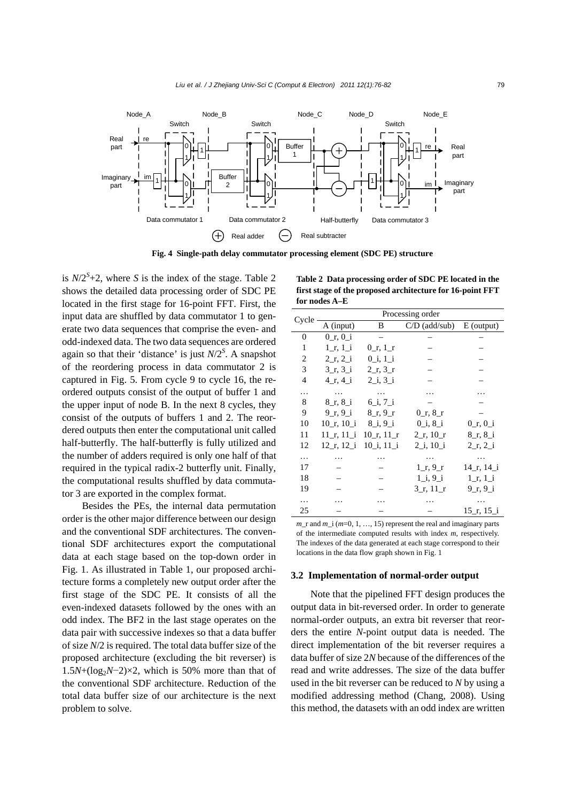

**Fig. 4 Single-path delay commutator processing element (SDC PE) structure** 

is  $N/2<sup>S</sup>+2$ , where *S* is the index of the stage. Table 2 shows the detailed data processing order of SDC PE located in the first stage for 16-point FFT. First, the input data are shuffled by data commutator 1 to generate two data sequences that comprise the even- and odd-indexed data. The two data sequences are ordered again so that their 'distance' is just  $N/2<sup>S</sup>$ . A snapshot of the reordering process in data commutator 2 is captured in Fig. 5. From cycle 9 to cycle 16, the reordered outputs consist of the output of buffer 1 and the upper input of node B. In the next 8 cycles, they consist of the outputs of buffers 1 and 2. The reordered outputs then enter the computational unit called half-butterfly. The half-butterfly is fully utilized and the number of adders required is only one half of that required in the typical radix-2 butterfly unit. Finally, the computational results shuffled by data commutator 3 are exported in the complex format.

Besides the PEs, the internal data permutation order is the other major difference between our design and the conventional SDF architectures. The conventional SDF architectures export the computational data at each stage based on the top-down order in Fig. 1. As illustrated in Table 1, our proposed architecture forms a completely new output order after the first stage of the SDC PE. It consists of all the even-indexed datasets followed by the ones with an odd index. The BF2 in the last stage operates on the data pair with successive indexes so that a data buffer of size *N*/2 is required. The total data buffer size of the proposed architecture (excluding the bit reverser) is  $1.5N+(log_2N-2)\times2$ , which is 50% more than that of the conventional SDF architecture. Reduction of the total data buffer size of our architecture is the next problem to solve.

**Table 2 Data processing order of SDC PE located in the first stage of the proposed architecture for 16-point FFT for nodes A–E**

| Cycle          | Processing order |                |                 |                |  |  |  |  |  |
|----------------|------------------|----------------|-----------------|----------------|--|--|--|--|--|
|                | A (input)        | B              | $C/D$ (add/sub) | $E$ (output)   |  |  |  |  |  |
| $\mathbf{0}$   | $0$ r, $0$ i     |                |                 |                |  |  |  |  |  |
| 1              | $1$ r, $1$ i     | $0_r, 1_r$     |                 |                |  |  |  |  |  |
| 2              | 2, r, 2, i       | $0$ _i, $1$ _i |                 |                |  |  |  |  |  |
| 3              | 3r, 3i           | 2, r, 3, r     |                 |                |  |  |  |  |  |
| $\overline{4}$ | 4r, 4i           | 2 i, 3 i       |                 |                |  |  |  |  |  |
| .              | .                |                |                 |                |  |  |  |  |  |
| 8              | 8r, 8i           | 6i, 7i         |                 |                |  |  |  |  |  |
| 9              | 9r, 9i           | 8r, 9r         | $0_r, 8_r$      |                |  |  |  |  |  |
| 10             | $10_r$ , $10_i$  | $8_i, 9_i$     | $0$ i, $8$ i    | $0_r$ , $0_i$  |  |  |  |  |  |
| 11             | 11 r, 11 i       | $10$ r, $11$ r | $2_r$ , $10_r$  | 8r, 8i         |  |  |  |  |  |
| 12             | $12$ r, $12$ i   | $10$ i, $11$ i | $2_i, 10_i$     | 2, r, 2, i     |  |  |  |  |  |
| .              |                  |                | $\cdots$        |                |  |  |  |  |  |
| 17             |                  |                | $1$ r, $9$ r    | $14$ r, $14$ i |  |  |  |  |  |
| 18             |                  |                | $1_i, 9i$       | $1$ r, $1$ i   |  |  |  |  |  |
| 19             |                  |                | $3_r$ , 11 $_r$ | 9r, 9i         |  |  |  |  |  |
| .              |                  |                |                 | .              |  |  |  |  |  |
| 25             |                  |                |                 | $15$ r, $15$ i |  |  |  |  |  |
|                |                  |                |                 |                |  |  |  |  |  |

 $m$ <sub>\_r</sub> and  $m$ <sub>\_i</sub> ( $m$ =0, 1, ..., 15) represent the real and imaginary parts of the intermediate computed results with index *m*, respectively. The indexes of the data generated at each stage correspond to their locations in the data flow graph shown in Fig. 1

#### **3.2 Implementation of normal-order output**

Note that the pipelined FFT design produces the output data in bit-reversed order. In order to generate normal-order outputs, an extra bit reverser that reorders the entire *N*-point output data is needed. The direct implementation of the bit reverser requires a data buffer of size 2*N* because of the differences of the read and write addresses. The size of the data buffer used in the bit reverser can be reduced to *N* by using a modified addressing method (Chang, 2008). Using this method, the datasets with an odd index are written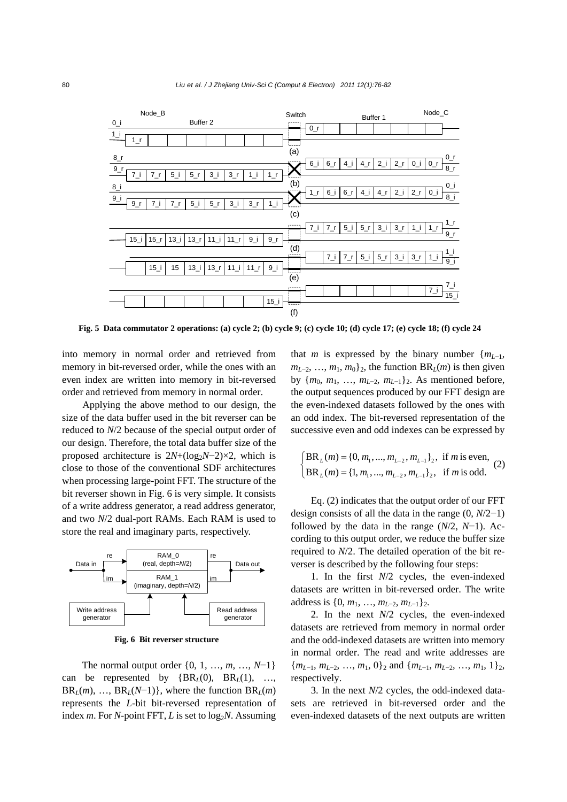

**Fig. 5 Data commutator 2 operations: (a) cycle 2; (b) cycle 9; (c) cycle 10; (d) cycle 17; (e) cycle 18; (f) cycle 24** 

into memory in normal order and retrieved from memory in bit-reversed order, while the ones with an even index are written into memory in bit-reversed order and retrieved from memory in normal order.

Applying the above method to our design, the size of the data buffer used in the bit reverser can be reduced to *N*/2 because of the special output order of our design. Therefore, the total data buffer size of the proposed architecture is  $2N+(log_2N-2)\times 2$ , which is close to those of the conventional SDF architectures when processing large-point FFT. The structure of the bit reverser shown in Fig. 6 is very simple. It consists of a write address generator, a read address generator, and two *N*/2 dual-port RAMs. Each RAM is used to store the real and imaginary parts, respectively.



**Fig. 6 Bit reverser structure** 

The normal output order {0, 1, …, *m*, …, *N*−1} can be represented by  ${BR<sub>L</sub>(0), BR<sub>L</sub>(1), ...,$  $BR<sub>L</sub>(m)$ , …,  $BR<sub>L</sub>(N-1)$ }, where the function  $BR<sub>L</sub>(m)$ represents the *L*-bit bit-reversed representation of index *m*. For *N*-point FFT, *L* is set to  $log_2 N$ . Assuming

that *m* is expressed by the binary number  ${m_{L-1}}$ ,  $m_{L-2}$ , …,  $m_1$ ,  $m_0$ }<sub>2</sub>, the function BR<sub>*L*</sub>(*m*) is then given by  ${m_0, m_1, ..., m_{L-2}, m_{L-1}}_2$ . As mentioned before, the output sequences produced by our FFT design are the even-indexed datasets followed by the ones with an odd index. The bit-reversed representation of the successive even and odd indexes can be expressed by

$$
\begin{cases}\nBR_L(m) = \{0, m_1, ..., m_{L-2}, m_{L-1}\}_2, & \text{if } m \text{ is even,} \\
BR_L(m) = \{1, m_1, ..., m_{L-2}, m_{L-1}\}_2, & \text{if } m \text{ is odd.}\n\end{cases}
$$
\n(2)

Eq. (2) indicates that the output order of our FFT design consists of all the data in the range (0, *N*/2−1) followed by the data in the range  $(N/2, N-1)$ . According to this output order, we reduce the buffer size required to *N*/2. The detailed operation of the bit reverser is described by the following four steps:

1. In the first *N*/2 cycles, the even-indexed datasets are written in bit-reversed order. The write address is  $\{0, m_1, ..., m_{L-2}, m_{L-1}\}_2$ .

2. In the next *N*/2 cycles, the even-indexed datasets are retrieved from memory in normal order and the odd-indexed datasets are written into memory in normal order. The read and write addresses are  ${m_{L-1}, m_{L-2}, ..., m_1, 0}$  and  ${m_{L-1}, m_{L-2}, ..., m_1, 1}$ , respectively.

3. In the next *N*/2 cycles, the odd-indexed datasets are retrieved in bit-reversed order and the even-indexed datasets of the next outputs are written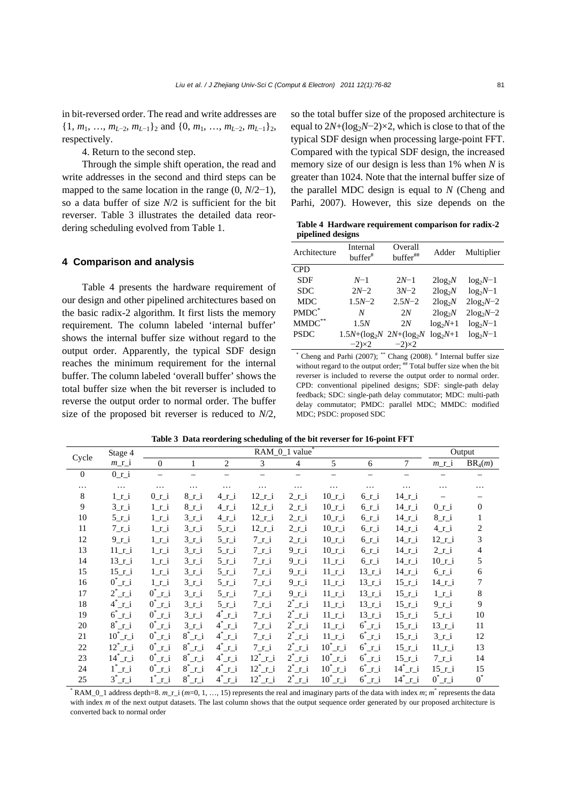in bit-reversed order. The read and write addresses are  $\{1, m_1, \ldots, m_{L-2}, m_{L-1}\}\$  and  $\{0, m_1, \ldots, m_{L-2}, m_{L-1}\}\$ <sub>2</sub>, respectively.

4. Return to the second step.

Through the simple shift operation, the read and write addresses in the second and third steps can be mapped to the same location in the range (0, *N*/2−1), so a data buffer of size *N*/2 is sufficient for the bit reverser. Table 3 illustrates the detailed data reordering scheduling evolved from Table 1.

#### **4 Comparison and analysis**

Table 4 presents the hardware requirement of our design and other pipelined architectures based on the basic radix-2 algorithm. It first lists the memory requirement. The column labeled 'internal buffer' shows the internal buffer size without regard to the output order. Apparently, the typical SDF design reaches the minimum requirement for the internal buffer. The column labeled 'overall buffer' shows the total buffer size when the bit reverser is included to reverse the output order to normal order. The buffer size of the proposed bit reverser is reduced to *N*/2, so the total buffer size of the proposed architecture is equal to 2*N*+(log<sub>2</sub>*N*−2)×2, which is close to that of the typical SDF design when processing large-point FFT. Compared with the typical SDF design, the increased memory size of our design is less than 1% when *N* is greater than 1024. Note that the internal buffer size of the parallel MDC design is equal to *N* (Cheng and Parhi, 2007). However, this size depends on the

**Table 4 Hardware requirement comparison for radix-2 pipelined designs**

| Architecture | Internal<br>$buffer^*$            | Overall<br>buffer## | Adder      | Multiplier  |
|--------------|-----------------------------------|---------------------|------------|-------------|
| <b>CPD</b>   |                                   |                     |            |             |
| <b>SDF</b>   | $N-1$                             | $2N-1$              | $2log_2N$  | $log_2N-1$  |
| <b>SDC</b>   | $2N-2$                            | $3N-2$              | $2log_2N$  | $log_2N-1$  |
| <b>MDC</b>   | $1.5N - 2$                        | $2.5N - 2$          | $2log_2N$  | $2log_2N-2$ |
| PMDC*        | N                                 | 2N                  | $2log_2N$  | $2log_2N-2$ |
| $MMDC$ **    | 1.5N                              | 2N                  | $log_2N+1$ | $log_2N-1$  |
| <b>PSDC</b>  | $1.5N + (\log_2 N 2N + (\log_2 N$ |                     | $log_2N+1$ | $log_2N-1$  |
|              | $-2\times2$                       | $-2\times2$         |            |             |

\* Cheng and Parhi (2007); \*\* Chang (2008).  $*$  Internal buffer size without regard to the output order; <sup>##</sup> Total buffer size when the bit reverser is included to reverse the output order to normal order. CPD: conventional pipelined designs; SDF: single-path delay feedback; SDC: single-path delay commutator; MDC: multi-path delay commutator; PMDC: parallel MDC; MMDC: modified MDC; PSDC: proposed SDC

|  |  |  | Table 3 Data reordering scheduling of the bit reverser for 16-point FFT |  |
|--|--|--|-------------------------------------------------------------------------|--|
|--|--|--|-------------------------------------------------------------------------|--|

|          | Stage 4             | RAM_0_1 value*                   |                    |                    |                     |                    | Output              |                   |                      |                 |                |
|----------|---------------------|----------------------------------|--------------------|--------------------|---------------------|--------------------|---------------------|-------------------|----------------------|-----------------|----------------|
| Cycle    | $m_r$ i             | $\mathbf{0}$                     |                    | $\overline{2}$     | 3                   | $\overline{4}$     | 5                   | 6                 | 7                    | m r i           | $BR_4(m)$      |
| $\theta$ | $0_1$               |                                  |                    |                    |                     |                    |                     |                   |                      |                 |                |
| $\cdots$ | $\ldots$            | $\ddotsc$                        | $\cdots$           | $\ddotsc$          | $\cdots$            | $\cdots$           | $\cdots$            | $\cdots$          | $\cdots$             | .               | .              |
| 8        | $1r_i$              | $0_1$ i                          | $8_{r_i}$          | $4r_i$             | $12\_r\_i$          | $2_{I_i}$          | $10$ _r_i           | $6r_i$            | $14$ r i             |                 |                |
| 9        | $3_{r_i}$           | $1_{I_i}$                        | $8_{r_i}$          | $4r_i$             | $12$ _r_i           | $2_{I_i}$          | $10$ _r_i           | $6r_i$            | $14$ _r_i            | $0_r$ i         | $\mathbf{0}$   |
| 10       | $5_i$               | $1_{I}$                          | $3_r$ i            | $4r_i$             | $12\_r\_i$          | $2_{I}$            | $10$ _r_i           | $6r_i$            | $14$ _r_i            | $8r_i$          | 1              |
| 11       | $7_{I}$             | $1_{I}$                          | $3_{r_i}$          | $5\_r_i$           | $12$ _r_i           | $2_{I_i}$          | $10$ _r_i           | $6r_i$            | $14$ r i             | $4r_i$          | $\overline{c}$ |
| 12       | $9_{r_i}$           | $1_r$                            | $3_r i$            | $5_i$              | $7_{r_i}$           | $2_{I}$            | $10$ _r_i           | $6r_i$            | $14$ _r_i            | $12$ _r_i       | 3              |
| 13       | $11$ _r_i           | $1_r$                            | $3_r i$            | $5_i$              | $7_{r_i}$           | $9_i i$            | $10$ _r_i           | $6r_i$            | $14$ _r_i            | $2_r i$         | 4              |
| 14       | $13$ _r_i           | $1_{I_i}$                        | $3_r i$            | $5_i$              | $7_{r_i}$           | $9_i$              | $11$ _r_i           | $6r_i$            | $14$ _r_i            | $10$ _r_i       | 5              |
| 15       | $15$ _r_i           | $1_r$                            | $3_r i$            | $5_i$              | $7_{r_i}$           | $9_i i$            | $11$ _r_i           | $13$ _r_i         | $14$ _r_i            | $6r_i$          | 6              |
| 16       | $0^{\ast}$ _r_i     | $1_r$                            | $3_r i$            | $5_i$              | $7_{r_i}$           | $9_{r_i}$          | $11$ _r_i           | $13_{r_i}$        | $15$ _r_i            | $14$ _r_i       | 7              |
| 17       | $2^{\degree}$ _r_i  | $0^{\ast}$ r_i                   | $3_i$              | $5_i$              | $7_{r_i}$           | $9_i$              | $11$ _r_i           | $13$ _r_i         | $15$ _r_i            | $1_r$           | 8              |
| 18       | $4^{\degree}$ r_i   | $0^{\degree}$ $\Gamma$ $\dot{1}$ | $3_r i$            | 5ri                | $7_{r_i}$           | $2^{\ast}$ _r_i    | $11$ _r_i           | $13$ _r_i         | $15$ _r_i            | $9_{I}$         | 9              |
| 19       | $6^{\circ}$ _r_i    | $0^{\ast}$ _r_i                  | $3_r i$            | $4^{\circ}$ _r_i   | $7_{r_i}$           | $2^{\ast}$ _r_i    | $11$ _r_i           | $13$ $\pm i$      | $15\_r\_i$           | $5_{r_i}$       | 10             |
| 20       | $8^{\degree}$ _r_i  | $0^{\ast}$ _r_i                  | 3ri                | $4^{\circ}$ r_i    | $7_{r_i}$           | $2^{\degree}$ _r_i | $11$ _r_i           | $6^{\degree}$ r_i | $15$ _r_i            | $13$ _r_i       | 11             |
| 21       | $10^{\degree}$ _r_i | $0^{\ast}$ _r_i                  | $8^{\degree}$ r_i  | $4^{\circ}$ r_i    | $7_i$               | $2^{\ast}$ _r_i    | $11$ $r_i$          | $6^{\circ}$ _r_i  | $15$ _r_i            | $3_r i$         | 12             |
| 22       | $12^{\degree}$ _r_i | $0^{\circ}$ _r_i                 | $8^{\degree}$ _r_i | $4^{\circ}$ _r_i   | $7_{r_i}$           | $2^{\ast}$ _r_i    | $10^{\degree}$ _r_i | $6^{\circ}$ r_i   | $15$ _r_i            | $11$ _r_i       | 13             |
| 23       | $14^*$ _r_i         | $0^{\ast}$ _r_i                  | $8^{\degree}$ r_i  | $4^{\circ}$ r_i    | $12^*$ _r_i         | $2^{\ast}$ _r_i    | $10^{\degree}$ _r_i | $6^{\circ}$ _r_i  | $15$ _r_i            | $7_{I}$         | 14             |
| 24       | $1^{\circ}$ _r_i    | $0^{\degree}$ _r_i               | $8^{\degree}$ _r_i | $4^{\circ}$ r_i    | $12^{\degree}$ _r_i | $2^{\ast}$ _r_i    | $10^{\degree}$ _r_i | $6^{\degree}$ r_i | $14^{\degree}$ $r_i$ | $15$ _r_i       | 15             |
| 25       | $3^{\circ}$ _r_i    | $1^{\circ}$ _r_i                 | $8^{\degree}$ _r_i | $4^{\degree}$ _r_i | $12^{\degree}$ _r_i | $2^{\ast}$ _r_i    | $10^{\degree}$ _r_i | $6^{\degree}$ r_i | $14^{\degree}$ $r_i$ | $0^{\ast}$ _r_i | $0^*$          |

\* RAM\_0\_1 address depth=8. *m*\_r\_i (*m*=0, 1, …, 15) represents the real and imaginary parts of the data with index *m*; *m*\* represents the data with index *m* of the next output datasets. The last column shows that the output sequence order generated by our proposed architecture is converted back to normal order